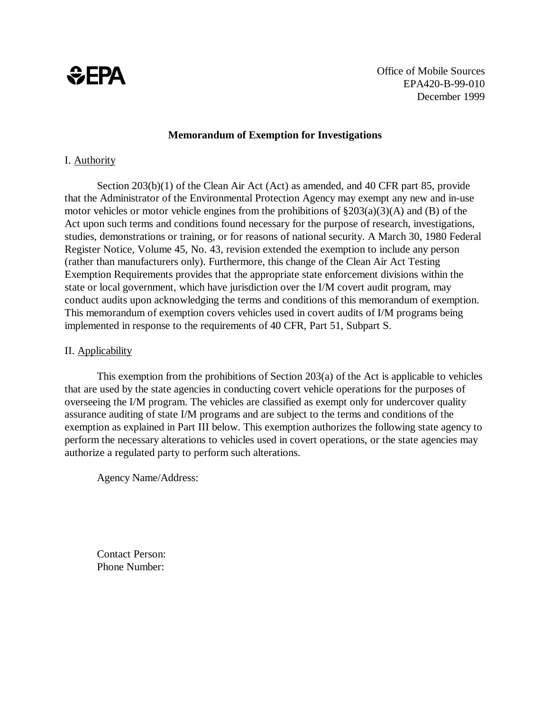

Office of Mobile Sources EPA420-B-99-010 December 1999

#### **Memorandum of Exemption for Investigations**

### I. Authority

Section 203(b)(1) of the Clean Air Act (Act) as amended, and 40 CFR part 85, provide that the Administrator of the Environmental Protection Agency may exempt any new and in-use motor vehicles or motor vehicle engines from the prohibitions of  $\S 203(a)(3)(A)$  and (B) of the Act upon such terms and conditions found necessary for the purpose of research, investigations, studies, demonstrations or training, or for reasons of national security. A March 30, 1980 Federal Register Notice, Volume 45, No. 43, revision extended the exemption to include any person (rather than manufacturers only). Furthermore, this change of the Clean Air Act Testing Exemption Requirements provides that the appropriate state enforcement divisions within the state or local government, which have jurisdiction over the I/M covert audit program, may conduct audits upon acknowledging the terms and conditions of this memorandum of exemption. This memorandum of exemption covers vehicles used in covert audits of I/M programs being implemented in response to the requirements of 40 CFR, Part 51, Subpart S.

#### II. Applicability

This exemption from the prohibitions of Section 203(a) of the Act is applicable to vehicles that are used by the state agencies in conducting covert vehicle operations for the purposes of overseeing the I/M program. The vehicles are classified as exempt only for undercover quality assurance auditing of state I/M programs and are subject to the terms and conditions of the exemption as explained in Part III below. This exemption authorizes the following state agency to perform the necessary alterations to vehicles used in covert operations, or the state agencies may authorize a regulated party to perform such alterations.

Agency Name/Address:

Contact Person: Phone Number: